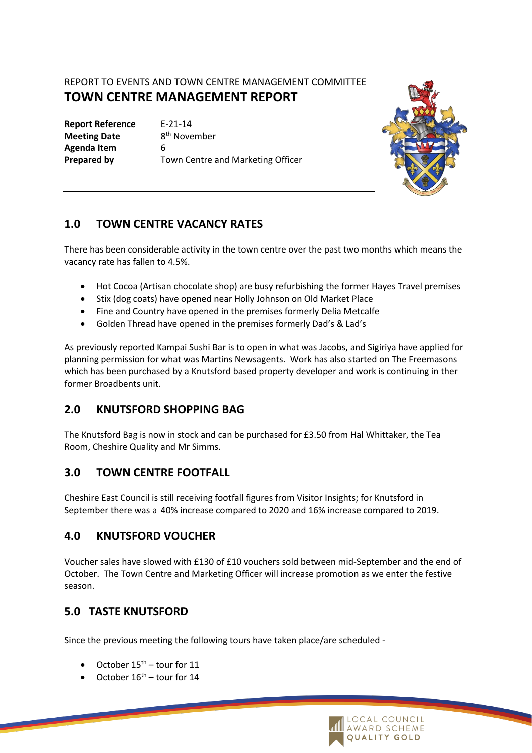# REPORT TO EVENTS AND TOWN CENTRE MANAGEMENT COMMITTEE **TOWN CENTRE MANAGEMENT REPORT**

**Report Reference** E-21-14 **Meeting Date Agenda Item** 6

8<sup>th</sup> November **Prepared by** Town Centre and Marketing Officer



## **1.0 TOWN CENTRE VACANCY RATES**

There has been considerable activity in the town centre over the past two months which means the vacancy rate has fallen to 4.5%.

- Hot Cocoa (Artisan chocolate shop) are busy refurbishing the former Hayes Travel premises
- Stix (dog coats) have opened near Holly Johnson on Old Market Place
- Fine and Country have opened in the premises formerly Delia Metcalfe
- Golden Thread have opened in the premises formerly Dad's & Lad's

As previously reported Kampai Sushi Bar is to open in what was Jacobs, and Sigiriya have applied for planning permission for what was Martins Newsagents. Work has also started on The Freemasons which has been purchased by a Knutsford based property developer and work is continuing in ther former Broadbents unit.

### **2.0 KNUTSFORD SHOPPING BAG**

The Knutsford Bag is now in stock and can be purchased for £3.50 from Hal Whittaker, the Tea Room, Cheshire Quality and Mr Simms.

### **3.0 TOWN CENTRE FOOTFALL**

Cheshire East Council is still receiving footfall figures from Visitor Insights; for Knutsford in September there was a 40% increase compared to 2020 and 16% increase compared to 2019.

### **4.0 KNUTSFORD VOUCHER**

Voucher sales have slowed with £130 of £10 vouchers sold between mid-September and the end of October. The Town Centre and Marketing Officer will increase promotion as we enter the festive season.

## **5.0 TASTE KNUTSFORD**

Since the previous meeting the following tours have taken place/are scheduled -

- October  $15^{\text{th}}$  tour for 11
- October  $16^{th}$  tour for 14

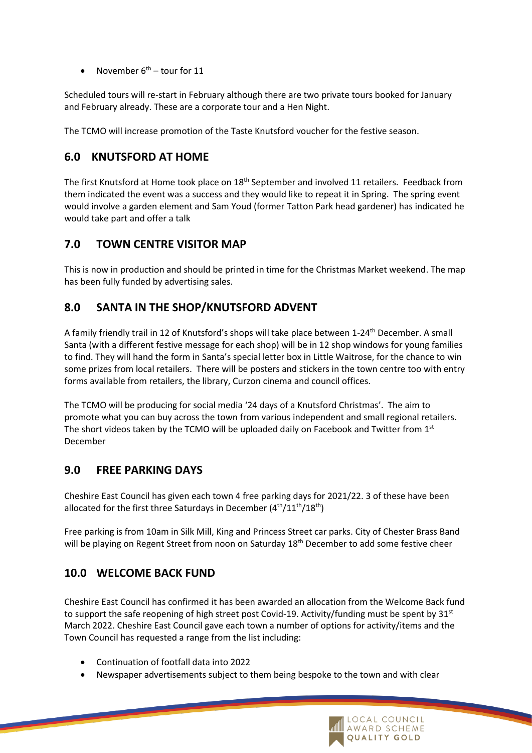November  $6^{th}$  – tour for 11

Scheduled tours will re-start in February although there are two private tours booked for January and February already. These are a corporate tour and a Hen Night.

The TCMO will increase promotion of the Taste Knutsford voucher for the festive season.

## **6.0 KNUTSFORD AT HOME**

The first Knutsford at Home took place on 18<sup>th</sup> September and involved 11 retailers. Feedback from them indicated the event was a success and they would like to repeat it in Spring. The spring event would involve a garden element and Sam Youd (former Tatton Park head gardener) has indicated he would take part and offer a talk

### **7.0 TOWN CENTRE VISITOR MAP**

This is now in production and should be printed in time for the Christmas Market weekend. The map has been fully funded by advertising sales.

## **8.0 SANTA IN THE SHOP/KNUTSFORD ADVENT**

A family friendly trail in 12 of Knutsford's shops will take place between 1-24th December. A small Santa (with a different festive message for each shop) will be in 12 shop windows for young families to find. They will hand the form in Santa's special letter box in Little Waitrose, for the chance to win some prizes from local retailers. There will be posters and stickers in the town centre too with entry forms available from retailers, the library, Curzon cinema and council offices.

The TCMO will be producing for social media '24 days of a Knutsford Christmas'. The aim to promote what you can buy across the town from various independent and small regional retailers. The short videos taken by the TCMO will be uploaded daily on Facebook and Twitter from  $1<sup>st</sup>$ December

### **9.0 FREE PARKING DAYS**

Cheshire East Council has given each town 4 free parking days for 2021/22. 3 of these have been allocated for the first three Saturdays in December  $(4<sup>th</sup>/11<sup>th</sup>/18<sup>th</sup>)$ 

Free parking is from 10am in Silk Mill, King and Princess Street car parks. City of Chester Brass Band will be playing on Regent Street from noon on Saturday 18<sup>th</sup> December to add some festive cheer

## **10.0 WELCOME BACK FUND**

Cheshire East Council has confirmed it has been awarded an allocation from the Welcome Back fund to support the safe reopening of high street post Covid-19. Activity/funding must be spent by  $31<sup>st</sup>$ March 2022. Cheshire East Council gave each town a number of options for activity/items and the Town Council has requested a range from the list including:

- Continuation of footfall data into 2022
- Newspaper advertisements subject to them being bespoke to the town and with clear